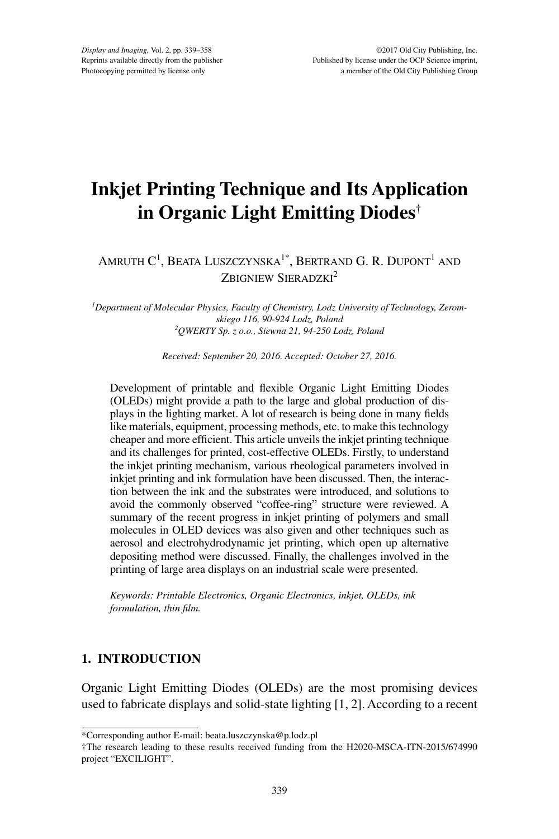# **Inkjet Printing Technique and Its Application in Organic Light Emitting Diodes**†

## Amruth C<sup>1</sup>, Beata Luszczynska<sup>1\*</sup>, Bertrand G. R. Dupont<sup>1</sup> and ZBIGNIEW SIERADZKI<sup>2</sup>

*1 Department of Molecular Physics, Faculty of Chemistry, Lodz University of Technology, Zeromskiego 116, 90-924 Lodz, Poland 2 QWERTY Sp. z o.o., Siewna 21, 94-250 Lodz, Poland*

*Received: September 20, 2016. Accepted: October 27, 2016.*

Development of printable and flexible Organic Light Emitting Diodes (OLEDs) might provide a path to the large and global production of displays in the lighting market. A lot of research is being done in many fields like materials, equipment, processing methods, etc. to make this technology cheaper and more efficient. This article unveils the inkjet printing technique and its challenges for printed, cost-effective OLEDs. Firstly, to understand the inkjet printing mechanism, various rheological parameters involved in inkjet printing and ink formulation have been discussed. Then, the interaction between the ink and the substrates were introduced, and solutions to avoid the commonly observed "coffee-ring" structure were reviewed. A summary of the recent progress in inkjet printing of polymers and small molecules in OLED devices was also given and other techniques such as aerosol and electrohydrodynamic jet printing, which open up alternative depositing method were discussed. Finally, the challenges involved in the printing of large area displays on an industrial scale were presented.

*Keywords: Printable Electronics, Organic Electronics, inkjet, OLEDs, ink formulation, thin film.*

## **1. INTRODUCTION**

Organic Light Emitting Diodes (OLEDs) are the most promising devices used to fabricate displays and solid-state lighting [1, 2]. According to a recent

<sup>\*</sup>Corresponding author E-mail: beata.luszczynska@p.lodz.pl

<sup>†</sup>The research leading to these results received funding from the H2020-MSCA-ITN-2015/674990 project "EXCILIGHT".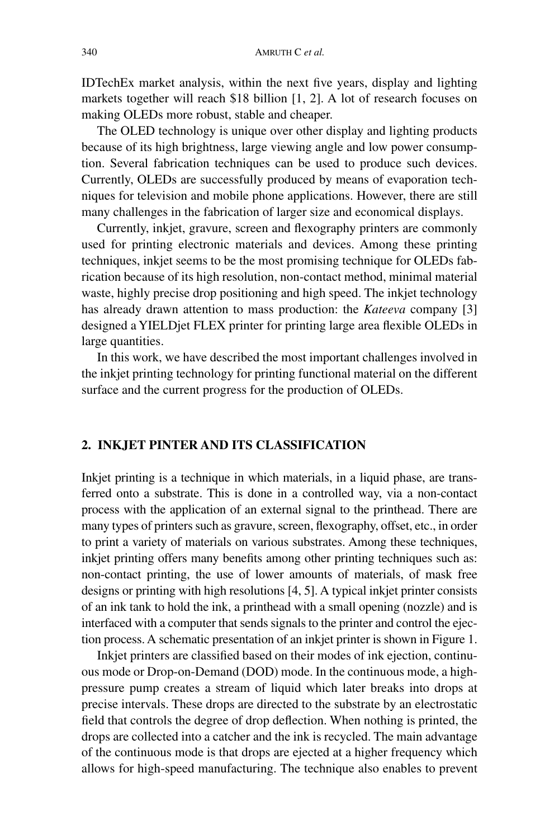IDTechEx market analysis, within the next five years, display and lighting markets together will reach \$18 billion [1, 2]. A lot of research focuses on making OLEDs more robust, stable and cheaper.

The OLED technology is unique over other display and lighting products because of its high brightness, large viewing angle and low power consumption. Several fabrication techniques can be used to produce such devices. Currently, OLEDs are successfully produced by means of evaporation techniques for television and mobile phone applications. However, there are still many challenges in the fabrication of larger size and economical displays.

Currently, inkjet, gravure, screen and flexography printers are commonly used for printing electronic materials and devices. Among these printing techniques, inkjet seems to be the most promising technique for OLEDs fabrication because of its high resolution, non-contact method, minimal material waste, highly precise drop positioning and high speed. The inkjet technology has already drawn attention to mass production: the *Kateeva* company [3] designed a YIELDjet FLEX printer for printing large area flexible OLEDs in large quantities.

In this work, we have described the most important challenges involved in the inkjet printing technology for printing functional material on the different surface and the current progress for the production of OLEDs.

### **2. INKJET PINTER AND ITS CLASSIFICATION**

Inkjet printing is a technique in which materials, in a liquid phase, are transferred onto a substrate. This is done in a controlled way, via a non-contact process with the application of an external signal to the printhead. There are many types of printers such as gravure, screen, flexography, offset, etc., in order to print a variety of materials on various substrates. Among these techniques, inkjet printing offers many benefits among other printing techniques such as: non-contact printing, the use of lower amounts of materials, of mask free designs or printing with high resolutions [4, 5]. A typical inkjet printer consists of an ink tank to hold the ink, a printhead with a small opening (nozzle) and is interfaced with a computer that sends signals to the printer and control the ejection process. A schematic presentation of an inkjet printer is shown in Figure 1.

Inkjet printers are classified based on their modes of ink ejection, continuous mode or Drop-on-Demand (DOD) mode. In the continuous mode, a highpressure pump creates a stream of liquid which later breaks into drops at precise intervals. These drops are directed to the substrate by an electrostatic field that controls the degree of drop deflection. When nothing is printed, the drops are collected into a catcher and the ink is recycled. The main advantage of the continuous mode is that drops are ejected at a higher frequency which allows for high-speed manufacturing. The technique also enables to prevent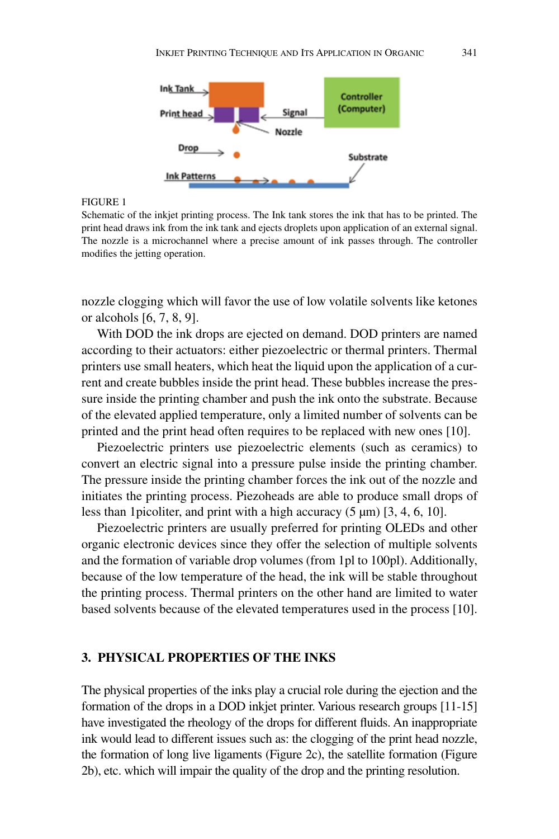

Schematic of the inkjet printing process. The Ink tank stores the ink that has to be printed. The print head draws ink from the ink tank and ejects droplets upon application of an external signal. The nozzle is a microchannel where a precise amount of ink passes through. The controller modifies the jetting operation.

nozzle clogging which will favor the use of low volatile solvents like ketones or alcohols [6, 7, 8, 9].

With DOD the ink drops are ejected on demand. DOD printers are named according to their actuators: either piezoelectric or thermal printers. Thermal printers use small heaters, which heat the liquid upon the application of a current and create bubbles inside the print head. These bubbles increase the pressure inside the printing chamber and push the ink onto the substrate. Because of the elevated applied temperature, only a limited number of solvents can be printed and the print head often requires to be replaced with new ones [10].

Piezoelectric printers use piezoelectric elements (such as ceramics) to convert an electric signal into a pressure pulse inside the printing chamber. The pressure inside the printing chamber forces the ink out of the nozzle and initiates the printing process. Piezoheads are able to produce small drops of less than 1 picoliter, and print with a high accuracy  $(5 \mu m)$  [3, 4, 6, 10].

Piezoelectric printers are usually preferred for printing OLEDs and other organic electronic devices since they offer the selection of multiple solvents and the formation of variable drop volumes (from 1pl to 100pl). Additionally, because of the low temperature of the head, the ink will be stable throughout the printing process. Thermal printers on the other hand are limited to water based solvents because of the elevated temperatures used in the process [10].

#### **3. PHYSICAL PROPERTIES OF THE INKS**

The physical properties of the inks play a crucial role during the ejection and the formation of the drops in a DOD inkjet printer. Various research groups [11-15] have investigated the rheology of the drops for different fluids. An inappropriate ink would lead to different issues such as: the clogging of the print head nozzle, the formation of long live ligaments (Figure 2c), the satellite formation (Figure 2b), etc. which will impair the quality of the drop and the printing resolution.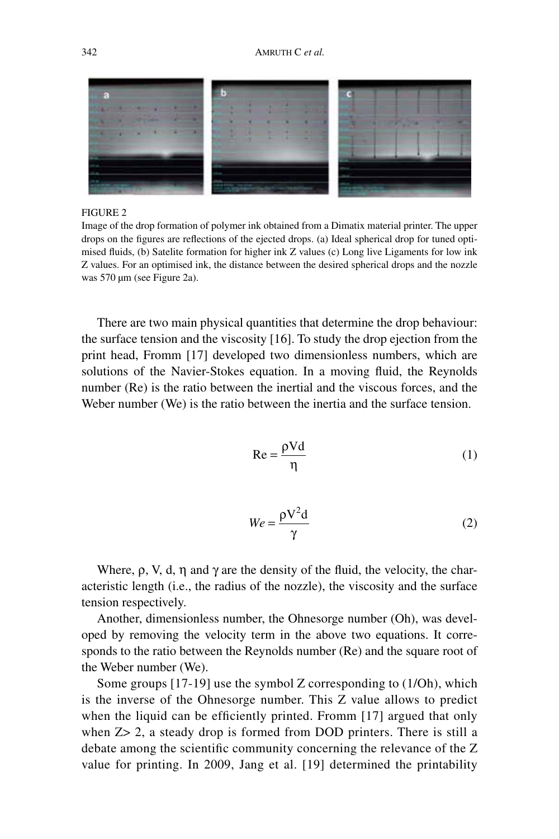

Image of the drop formation of polymer ink obtained from a Dimatix material printer. The upper drops on the figures are reflections of the ejected drops. (a) Ideal spherical drop for tuned optimised fluids, (b) Satelite formation for higher ink Z values (c) Long live Ligaments for low ink Z values. For an optimised ink, the distance between the desired spherical drops and the nozzle was 570 µm (see Figure 2a).

There are two main physical quantities that determine the drop behaviour: the surface tension and the viscosity [16]. To study the drop ejection from the print head, Fromm [17] developed two dimensionless numbers, which are solutions of the Navier-Stokes equation. In a moving fluid, the Reynolds number (Re) is the ratio between the inertial and the viscous forces, and the Weber number (We) is the ratio between the inertia and the surface tension.

$$
Re = \frac{\rho V d}{\eta}
$$
 (1)

$$
We = \frac{\rho V^2 d}{\gamma} \tag{2}
$$

Where,  $\rho$ , V, d,  $\eta$  and  $\gamma$  are the density of the fluid, the velocity, the characteristic length (i.e., the radius of the nozzle), the viscosity and the surface tension respectively.

Another, dimensionless number, the Ohnesorge number (Oh), was developed by removing the velocity term in the above two equations. It corresponds to the ratio between the Reynolds number (Re) and the square root of the Weber number (We).

Some groups [17-19] use the symbol Z corresponding to (1/Oh), which is the inverse of the Ohnesorge number. This Z value allows to predict when the liquid can be efficiently printed. Fromm [17] argued that only when  $Z > 2$ , a steady drop is formed from DOD printers. There is still a debate among the scientific community concerning the relevance of the Z value for printing. In 2009, Jang et al. [19] determined the printability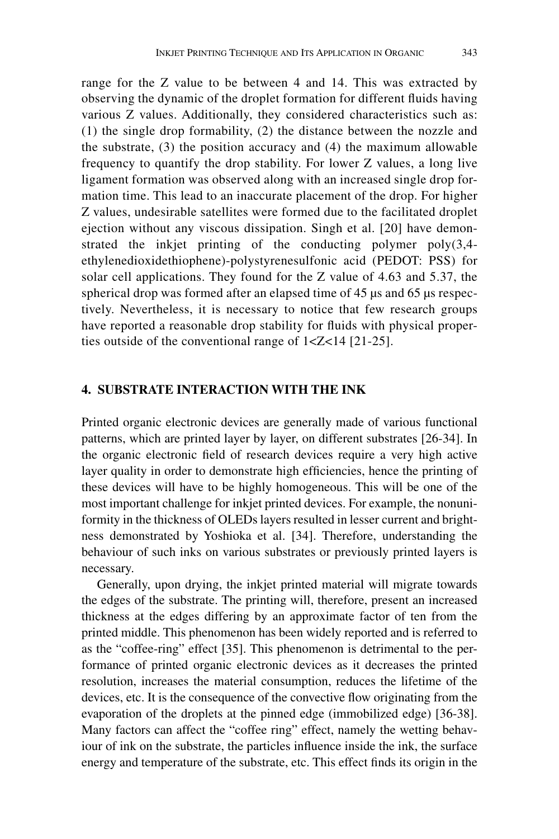range for the Z value to be between 4 and 14. This was extracted by observing the dynamic of the droplet formation for different fluids having various Z values. Additionally, they considered characteristics such as: (1) the single drop formability, (2) the distance between the nozzle and the substrate, (3) the position accuracy and (4) the maximum allowable frequency to quantify the drop stability. For lower Z values, a long live ligament formation was observed along with an increased single drop formation time. This lead to an inaccurate placement of the drop. For higher Z values, undesirable satellites were formed due to the facilitated droplet ejection without any viscous dissipation. Singh et al. [20] have demonstrated the inkjet printing of the conducting polymer poly(3,4 ethylenedioxidethiophene)-polystyrenesulfonic acid (PEDOT: PSS) for solar cell applications. They found for the Z value of 4.63 and 5.37, the spherical drop was formed after an elapsed time of 45  $\mu$ s and 65  $\mu$ s respectively. Nevertheless, it is necessary to notice that few research groups have reported a reasonable drop stability for fluids with physical properties outside of the conventional range of 1<Z<14 [21-25].

#### **4. SUBSTRATE INTERACTION WITH THE INK**

Printed organic electronic devices are generally made of various functional patterns, which are printed layer by layer, on different substrates [26-34]. In the organic electronic field of research devices require a very high active layer quality in order to demonstrate high efficiencies, hence the printing of these devices will have to be highly homogeneous. This will be one of the most important challenge for inkjet printed devices. For example, the nonuniformity in the thickness of OLEDs layers resulted in lesser current and brightness demonstrated by Yoshioka et al. [34]. Therefore, understanding the behaviour of such inks on various substrates or previously printed layers is necessary.

Generally, upon drying, the inkjet printed material will migrate towards the edges of the substrate. The printing will, therefore, present an increased thickness at the edges differing by an approximate factor of ten from the printed middle. This phenomenon has been widely reported and is referred to as the "coffee-ring" effect [35]. This phenomenon is detrimental to the performance of printed organic electronic devices as it decreases the printed resolution, increases the material consumption, reduces the lifetime of the devices, etc. It is the consequence of the convective flow originating from the evaporation of the droplets at the pinned edge (immobilized edge) [36-38]. Many factors can affect the "coffee ring" effect, namely the wetting behaviour of ink on the substrate, the particles influence inside the ink, the surface energy and temperature of the substrate, etc. This effect finds its origin in the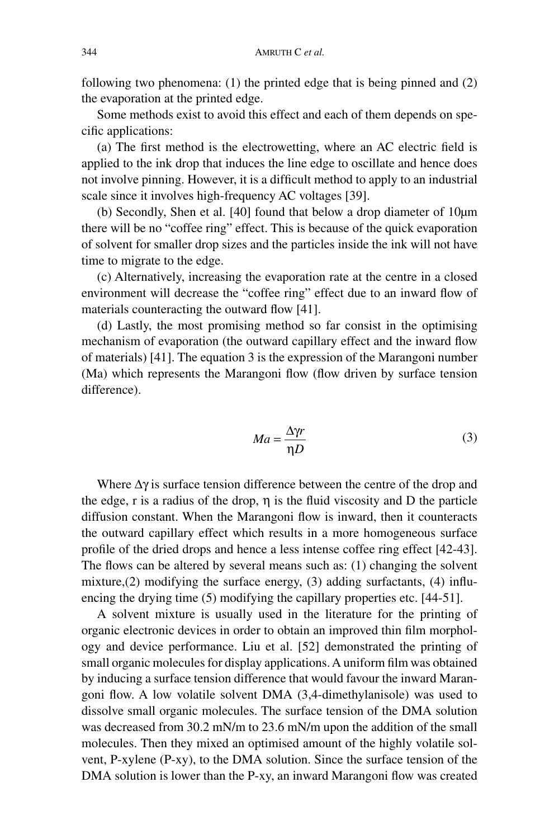following two phenomena: (1) the printed edge that is being pinned and (2) the evaporation at the printed edge.

Some methods exist to avoid this effect and each of them depends on specific applications:

(a) The first method is the electrowetting, where an AC electric field is applied to the ink drop that induces the line edge to oscillate and hence does not involve pinning. However, it is a difficult method to apply to an industrial scale since it involves high-frequency AC voltages [39].

(b) Secondly, Shen et al. [40] found that below a drop diameter of 10µm there will be no "coffee ring" effect. This is because of the quick evaporation of solvent for smaller drop sizes and the particles inside the ink will not have time to migrate to the edge.

(c) Alternatively, increasing the evaporation rate at the centre in a closed environment will decrease the "coffee ring" effect due to an inward flow of materials counteracting the outward flow [41].

(d) Lastly, the most promising method so far consist in the optimising mechanism of evaporation (the outward capillary effect and the inward flow of materials) [41]. The equation 3 is the expression of the Marangoni number (Ma) which represents the Marangoni flow (flow driven by surface tension difference).

$$
Ma = \frac{\Delta \gamma r}{\eta D} \tag{3}
$$

Where  $\Delta \gamma$  is surface tension difference between the centre of the drop and the edge, r is a radius of the drop,  $\eta$  is the fluid viscosity and D the particle diffusion constant. When the Marangoni flow is inward, then it counteracts the outward capillary effect which results in a more homogeneous surface profile of the dried drops and hence a less intense coffee ring effect [42-43]. The flows can be altered by several means such as: (1) changing the solvent mixture,(2) modifying the surface energy, (3) adding surfactants, (4) influencing the drying time (5) modifying the capillary properties etc. [44-51].

A solvent mixture is usually used in the literature for the printing of organic electronic devices in order to obtain an improved thin film morphology and device performance. Liu et al. [52] demonstrated the printing of small organic molecules for display applications. A uniform film was obtained by inducing a surface tension difference that would favour the inward Marangoni flow. A low volatile solvent DMA (3,4-dimethylanisole) was used to dissolve small organic molecules. The surface tension of the DMA solution was decreased from 30.2 mN/m to 23.6 mN/m upon the addition of the small molecules. Then they mixed an optimised amount of the highly volatile solvent, P-xylene (P-xy), to the DMA solution. Since the surface tension of the DMA solution is lower than the P-xy, an inward Marangoni flow was created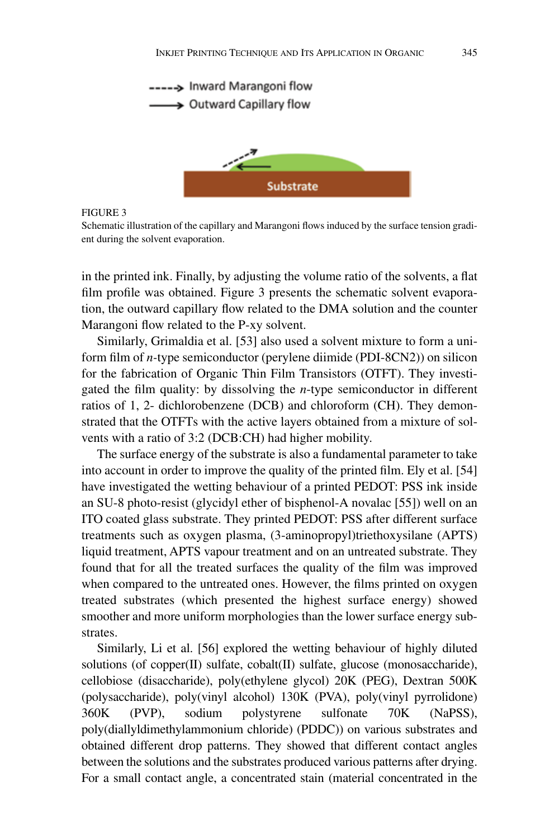

Schematic illustration of the capillary and Marangoni flows induced by the surface tension gradient during the solvent evaporation.

in the printed ink. Finally, by adjusting the volume ratio of the solvents, a flat film profile was obtained. Figure 3 presents the schematic solvent evaporation, the outward capillary flow related to the DMA solution and the counter Marangoni flow related to the P-xy solvent.

Similarly, Grimaldia et al. [53] also used a solvent mixture to form a uniform film of *n-*type semiconductor (perylene diimide (PDI-8CN2)) on silicon for the fabrication of Organic Thin Film Transistors (OTFT). They investigated the film quality: by dissolving the *n*-type semiconductor in different ratios of 1, 2- dichlorobenzene (DCB) and chloroform (CH). They demonstrated that the OTFTs with the active layers obtained from a mixture of solvents with a ratio of 3:2 (DCB:CH) had higher mobility.

The surface energy of the substrate is also a fundamental parameter to take into account in order to improve the quality of the printed film. Ely et al. [54] have investigated the wetting behaviour of a printed PEDOT: PSS ink inside an SU-8 photo-resist (glycidyl ether of bisphenol-A novalac [55]) well on an ITO coated glass substrate. They printed PEDOT: PSS after different surface treatments such as oxygen plasma, (3-aminopropyl)triethoxysilane (APTS) liquid treatment, APTS vapour treatment and on an untreated substrate. They found that for all the treated surfaces the quality of the film was improved when compared to the untreated ones. However, the films printed on oxygen treated substrates (which presented the highest surface energy) showed smoother and more uniform morphologies than the lower surface energy substrates.

Similarly, Li et al. [56] explored the wetting behaviour of highly diluted solutions (of copper(II) sulfate, cobalt(II) sulfate, glucose (monosaccharide), cellobiose (disaccharide), poly(ethylene glycol) 20K (PEG), Dextran 500K (polysaccharide), poly(vinyl alcohol) 130K (PVA), poly(vinyl pyrrolidone) 360K (PVP), sodium polystyrene sulfonate 70K (NaPSS), poly(diallyldimethylammonium chloride) (PDDC)) on various substrates and obtained different drop patterns. They showed that different contact angles between the solutions and the substrates produced various patterns after drying. For a small contact angle, a concentrated stain (material concentrated in the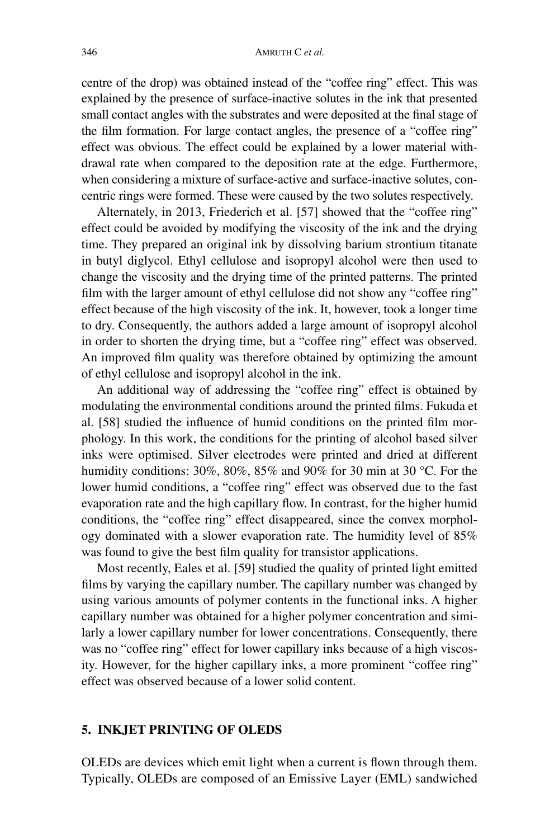centre of the drop) was obtained instead of the "coffee ring" effect. This was explained by the presence of surface-inactive solutes in the ink that presented small contact angles with the substrates and were deposited at the final stage of the film formation. For large contact angles, the presence of a "coffee ring" effect was obvious. The effect could be explained by a lower material withdrawal rate when compared to the deposition rate at the edge. Furthermore, when considering a mixture of surface-active and surface-inactive solutes, concentric rings were formed. These were caused by the two solutes respectively.

Alternately, in 2013, Friederich et al. [57] showed that the "coffee ring" effect could be avoided by modifying the viscosity of the ink and the drying time. They prepared an original ink by dissolving barium strontium titanate in butyl diglycol. Ethyl cellulose and isopropyl alcohol were then used to change the viscosity and the drying time of the printed patterns. The printed film with the larger amount of ethyl cellulose did not show any "coffee ring" effect because of the high viscosity of the ink. It, however, took a longer time to dry. Consequently, the authors added a large amount of isopropyl alcohol in order to shorten the drying time, but a "coffee ring" effect was observed. An improved film quality was therefore obtained by optimizing the amount of ethyl cellulose and isopropyl alcohol in the ink.

An additional way of addressing the "coffee ring" effect is obtained by modulating the environmental conditions around the printed films. Fukuda et al. [58] studied the influence of humid conditions on the printed film morphology. In this work, the conditions for the printing of alcohol based silver inks were optimised. Silver electrodes were printed and dried at different humidity conditions: 30%, 80%, 85% and 90% for 30 min at 30 °C. For the lower humid conditions, a "coffee ring" effect was observed due to the fast evaporation rate and the high capillary flow. In contrast, for the higher humid conditions, the "coffee ring" effect disappeared, since the convex morphology dominated with a slower evaporation rate. The humidity level of 85% was found to give the best film quality for transistor applications.

Most recently, Eales et al. [59] studied the quality of printed light emitted films by varying the capillary number. The capillary number was changed by using various amounts of polymer contents in the functional inks. A higher capillary number was obtained for a higher polymer concentration and similarly a lower capillary number for lower concentrations. Consequently, there was no "coffee ring" effect for lower capillary inks because of a high viscosity. However, for the higher capillary inks, a more prominent "coffee ring" effect was observed because of a lower solid content.

#### **5. INKJET PRINTING OF OLEDS**

OLEDs are devices which emit light when a current is flown through them. Typically, OLEDs are composed of an Emissive Layer (EML) sandwiched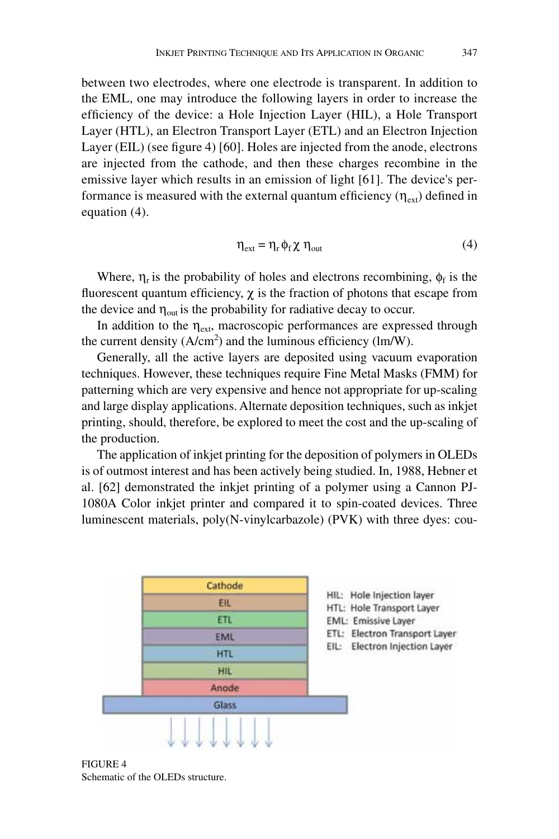between two electrodes, where one electrode is transparent. In addition to the EML, one may introduce the following layers in order to increase the efficiency of the device: a Hole Injection Layer (HIL), a Hole Transport Layer (HTL), an Electron Transport Layer (ETL) and an Electron Injection Layer (EIL) (see figure 4) [60]. Holes are injected from the anode, electrons are injected from the cathode, and then these charges recombine in the emissive layer which results in an emission of light [61]. The device's performance is measured with the external quantum efficiency  $(\eta_{ext})$  defined in equation (4).

$$
\eta_{\text{ext}} = \eta_{\text{r}} \phi_{\text{f}} \chi \eta_{\text{out}} \tag{4}
$$

Where,  $\eta_r$  is the probability of holes and electrons recombining,  $\phi_f$  is the fluorescent quantum efficiency,  $\chi$  is the fraction of photons that escape from the device and  $\eta_{\text{out}}$  is the probability for radiative decay to occur.

In addition to the  $\eta_{ext}$ , macroscopic performances are expressed through the current density  $(A/cm<sup>2</sup>)$  and the luminous efficiency (lm/W).

Generally, all the active layers are deposited using vacuum evaporation techniques. However, these techniques require Fine Metal Masks (FMM) for patterning which are very expensive and hence not appropriate for up-scaling and large display applications. Alternate deposition techniques, such as inkjet printing, should, therefore, be explored to meet the cost and the up-scaling of the production.

The application of inkjet printing for the deposition of polymers in OLEDs is of outmost interest and has been actively being studied. In, 1988, Hebner et al. [62] demonstrated the inkjet printing of a polymer using a Cannon PJ-1080A Color inkjet printer and compared it to spin-coated devices. Three luminescent materials, poly(N-vinylcarbazole) (PVK) with three dyes: cou-



Figure 4 Schematic of the OLEDs structure.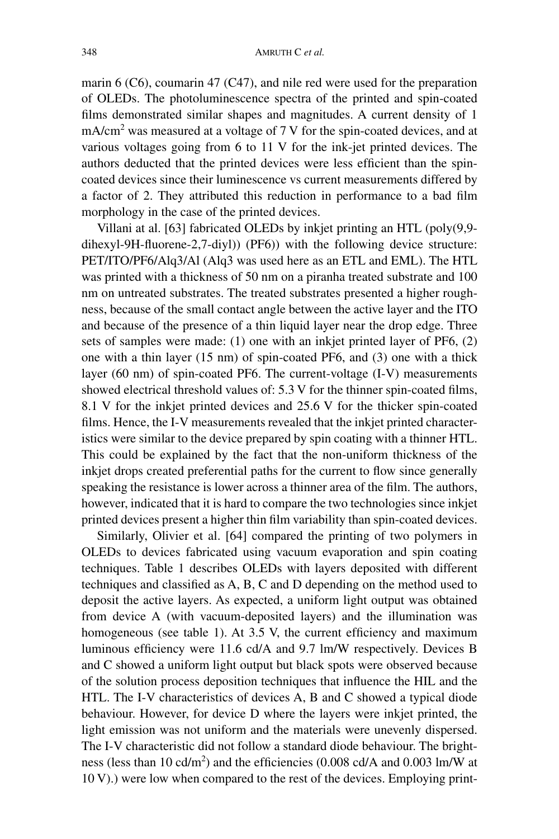marin 6 (C6), coumarin 47 (C47), and nile red were used for the preparation of OLEDs. The photoluminescence spectra of the printed and spin-coated films demonstrated similar shapes and magnitudes. A current density of 1  $mA/cm<sup>2</sup>$  was measured at a voltage of 7 V for the spin-coated devices, and at various voltages going from 6 to 11 V for the ink-jet printed devices. The authors deducted that the printed devices were less efficient than the spincoated devices since their luminescence vs current measurements differed by a factor of 2. They attributed this reduction in performance to a bad film morphology in the case of the printed devices.

Villani at al. [63] fabricated OLEDs by inkjet printing an HTL (poly(9,9 dihexyl-9H-fluorene-2,7-diyl)) (PF6)) with the following device structure: PET/ITO/PF6/Alq3/Al (Alq3 was used here as an ETL and EML). The HTL was printed with a thickness of 50 nm on a piranha treated substrate and 100 nm on untreated substrates. The treated substrates presented a higher roughness, because of the small contact angle between the active layer and the ITO and because of the presence of a thin liquid layer near the drop edge. Three sets of samples were made: (1) one with an inkjet printed layer of PF6, (2) one with a thin layer (15 nm) of spin-coated PF6, and (3) one with a thick layer (60 nm) of spin-coated PF6. The current-voltage (I-V) measurements showed electrical threshold values of: 5.3 V for the thinner spin-coated films, 8.1 V for the inkjet printed devices and 25.6 V for the thicker spin-coated films. Hence, the I-V measurements revealed that the inkjet printed characteristics were similar to the device prepared by spin coating with a thinner HTL. This could be explained by the fact that the non-uniform thickness of the inkjet drops created preferential paths for the current to flow since generally speaking the resistance is lower across a thinner area of the film. The authors, however, indicated that it is hard to compare the two technologies since inkjet printed devices present a higher thin film variability than spin-coated devices.

Similarly, Olivier et al. [64] compared the printing of two polymers in OLEDs to devices fabricated using vacuum evaporation and spin coating techniques. Table 1 describes OLEDs with layers deposited with different techniques and classified as A, B, C and D depending on the method used to deposit the active layers. As expected, a uniform light output was obtained from device A (with vacuum-deposited layers) and the illumination was homogeneous (see table 1). At 3.5 V, the current efficiency and maximum luminous efficiency were 11.6 cd/A and 9.7 lm/W respectively. Devices B and C showed a uniform light output but black spots were observed because of the solution process deposition techniques that influence the HIL and the HTL. The I-V characteristics of devices A, B and C showed a typical diode behaviour. However, for device D where the layers were inkjet printed, the light emission was not uniform and the materials were unevenly dispersed. The I-V characteristic did not follow a standard diode behaviour. The brightness (less than 10 cd/m<sup>2</sup>) and the efficiencies (0.008 cd/A and 0.003 lm/W at 10 V).) were low when compared to the rest of the devices. Employing print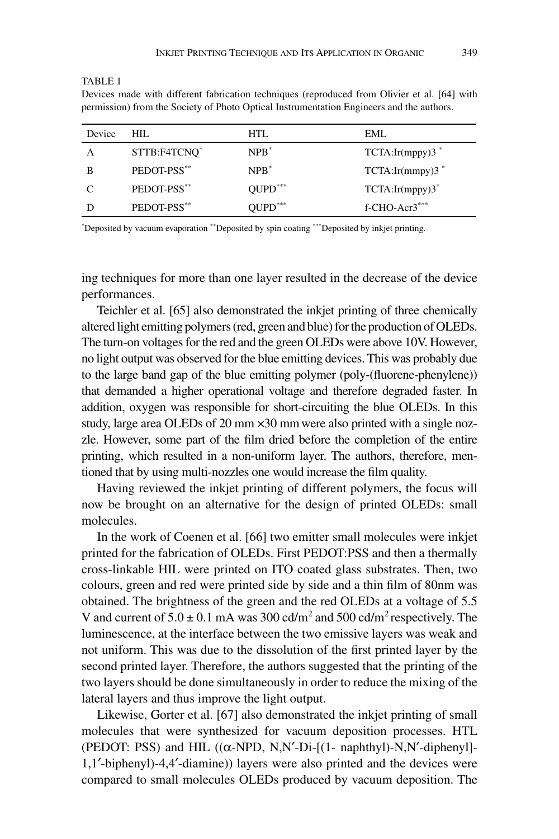Devices made with different fabrication techniques (reproduced from Olivier et al. [64] with permission) from the Society of Photo Optical Instrumentation Engineers and the authors.

| Device | HIL.         | HTL.                | EML                 |
|--------|--------------|---------------------|---------------------|
| А      | STTB:F4TCNO* | $NPR^*$             | TCTA:Ir(mppy)3      |
| B      | PEDOT-PSS**  | $NPR^*$             | TCTA:Ir(mmpy)3      |
|        | PEDOT-PSS**  | $OUPD***$           | $TCTA:Ir(mppy)3^*$  |
|        | PEDOT-PSS**  | $\text{QUPD}^{***}$ | $f$ -CHO-Acr $3***$ |
|        |              |                     |                     |

\* Deposited by vacuum evaporation \*\*Deposited by spin coating \*\*\*Deposited by inkjet printing.

ing techniques for more than one layer resulted in the decrease of the device performances.

Teichler et al. [65] also demonstrated the inkjet printing of three chemically altered light emitting polymers (red, green and blue) for the production of OLEDs. The turn-on voltages for the red and the green OLEDs were above 10V. However, no light output was observed for the blue emitting devices. This was probably due to the large band gap of the blue emitting polymer (poly-(fluorene-phenylene)) that demanded a higher operational voltage and therefore degraded faster. In addition, oxygen was responsible for short-circuiting the blue OLEDs. In this study, large area OLEDs of 20 mm  $\times$ 30 mm were also printed with a single nozzle. However, some part of the film dried before the completion of the entire printing, which resulted in a non-uniform layer. The authors, therefore, mentioned that by using multi-nozzles one would increase the film quality.

Having reviewed the inkjet printing of different polymers, the focus will now be brought on an alternative for the design of printed OLEDs: small molecules.

In the work of Coenen et al. [66] two emitter small molecules were inkjet printed for the fabrication of OLEDs. First PEDOT:PSS and then a thermally cross-linkable HIL were printed on ITO coated glass substrates. Then, two colours, green and red were printed side by side and a thin film of 80nm was obtained. The brightness of the green and the red OLEDs at a voltage of 5.5 V and current of  $5.0 \pm 0.1$  mA was 300 cd/m<sup>2</sup> and 500 cd/m<sup>2</sup> respectively. The luminescence, at the interface between the two emissive layers was weak and not uniform. This was due to the dissolution of the first printed layer by the second printed layer. Therefore, the authors suggested that the printing of the two layers should be done simultaneously in order to reduce the mixing of the lateral layers and thus improve the light output.

Likewise, Gorter et al. [67] also demonstrated the inkjet printing of small molecules that were synthesized for vacuum deposition processes. HTL (PEDOT: PSS) and HIL ((α-NPD, N,N′-Di-[(1- naphthyl)-N,N′-diphenyl]- 1,1′-biphenyl)-4,4′-diamine)) layers were also printed and the devices were compared to small molecules OLEDs produced by vacuum deposition. The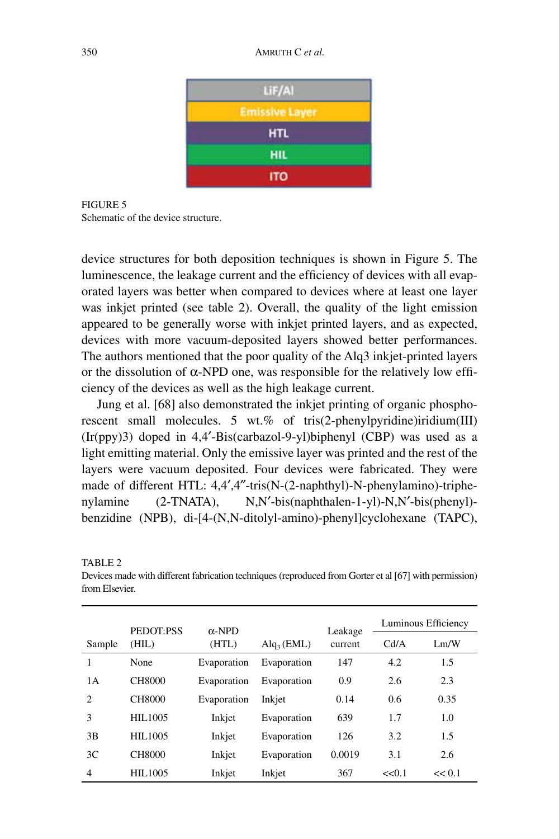

FIGURE 5 Schematic of the device structure.

device structures for both deposition techniques is shown in Figure 5. The luminescence, the leakage current and the efficiency of devices with all evaporated layers was better when compared to devices where at least one layer was inkjet printed (see table 2). Overall, the quality of the light emission appeared to be generally worse with inkjet printed layers, and as expected, devices with more vacuum-deposited layers showed better performances. The authors mentioned that the poor quality of the Alq3 inkjet-printed layers or the dissolution of  $\alpha$ -NPD one, was responsible for the relatively low efficiency of the devices as well as the high leakage current.

Jung et al. [68] also demonstrated the inkjet printing of organic phosphorescent small molecules. 5 wt.% of tris(2-phenylpyridine)iridium(III)  $(Ir(ppy)3)$  doped in 4,4'-Bis(carbazol-9-yl)biphenyl (CBP) was used as a light emitting material. Only the emissive layer was printed and the rest of the layers were vacuum deposited. Four devices were fabricated. They were made of different HTL: 4,4′,4″-tris(N-(2-naphthyl)-N-phenylamino)-triphenylamine (2-TNATA), N,N'-bis(naphthalen-1-yl)-N,N'-bis(phenyl)benzidine (NPB), di-[4-(N,N-ditolyl-amino)-phenyl]cyclohexane (TAPC),

|                |                    |                        |                            |                    | Luminous Efficiency |        |
|----------------|--------------------|------------------------|----------------------------|--------------------|---------------------|--------|
| Sample         | PEDOT:PSS<br>(HIL) | $\alpha$ -NPD<br>(HTL) | $\text{Alq}_3(\text{EML})$ | Leakage<br>current | Cd/A                | Lm/W   |
| 1              | None               | Evaporation            | Evaporation                | 147                | 4.2                 | 1.5    |
| 1 A            | CH8000             | Evaporation            | Evaporation                | 0.9                | 2.6                 | 2.3    |
| $\overline{c}$ | CH8000             | Evaporation            | Inkjet                     | 0.14               | 0.6                 | 0.35   |
| 3              | HIL1005            | Inkjet                 | Evaporation                | 639                | 1.7                 | 1.0    |
| 3B             | HIL1005            | Inkjet                 | Evaporation                | 126                | 3.2                 | 1.5    |
| 3 <sup>C</sup> | CH8000             | Inkjet                 | Evaporation                | 0.0019             | 3.1                 | 2.6    |
| $\overline{4}$ | HIL1005            | Inkjet                 | Inkjet                     | 367                | << 0.1              | << 0.1 |

TABLE<sub>2</sub>

Devices made with different fabrication techniques (reproduced from Gorter et al [67] with permission) from Elsevier.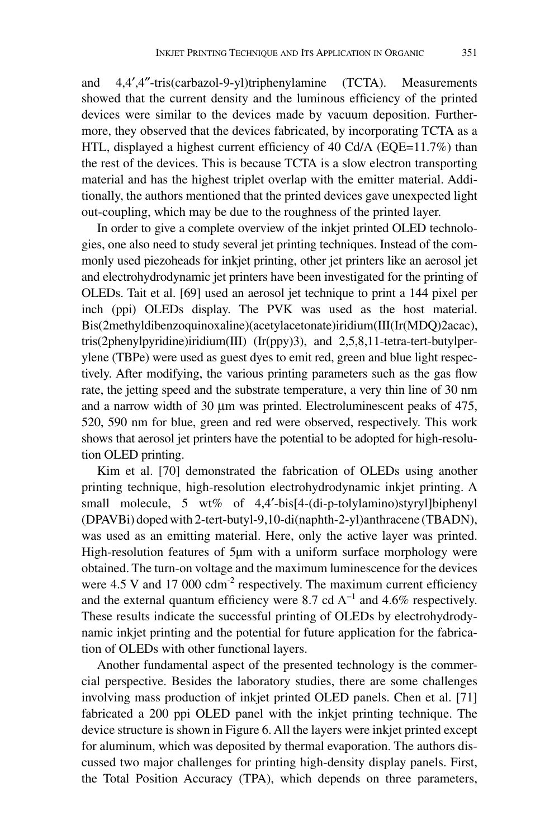and 4,4′,4″-tris(carbazol-9-yl)triphenylamine (TCTA). Measurements showed that the current density and the luminous efficiency of the printed devices were similar to the devices made by vacuum deposition. Furthermore, they observed that the devices fabricated, by incorporating TCTA as a HTL, displayed a highest current efficiency of 40 Cd/A (EQE=11.7%) than the rest of the devices. This is because TCTA is a slow electron transporting material and has the highest triplet overlap with the emitter material. Additionally, the authors mentioned that the printed devices gave unexpected light out-coupling, which may be due to the roughness of the printed layer.

In order to give a complete overview of the inkjet printed OLED technologies, one also need to study several jet printing techniques. Instead of the commonly used piezoheads for inkjet printing, other jet printers like an aerosol jet and electrohydrodynamic jet printers have been investigated for the printing of OLEDs. Tait et al. [69] used an aerosol jet technique to print a 144 pixel per inch (ppi) OLEDs display. The PVK was used as the host material. Bis(2methyldibenzoquinoxaline)(acetylacetonate)iridium(III(Ir(MDQ)2acac), tris(2phenylpyridine)iridium(III) (Ir(ppy)3), and 2,5,8,11-tetra-tert-butylperylene (TBPe) were used as guest dyes to emit red, green and blue light respectively. After modifying, the various printing parameters such as the gas flow rate, the jetting speed and the substrate temperature, a very thin line of 30 nm and a narrow width of 30 µm was printed. Electroluminescent peaks of 475, 520, 590 nm for blue, green and red were observed, respectively. This work shows that aerosol jet printers have the potential to be adopted for high-resolution OLED printing.

Kim et al. [70] demonstrated the fabrication of OLEDs using another printing technique, high-resolution electrohydrodynamic inkjet printing. A small molecule, 5 wt% of 4,4'-bis[4-(di-p-tolylamino)styryl]biphenyl (DPAVBi) doped with 2-tert-butyl-9,10-di(naphth-2-yl)anthracene (TBADN), was used as an emitting material. Here, only the active layer was printed. High-resolution features of 5µm with a uniform surface morphology were obtained. The turn-on voltage and the maximum luminescence for the devices were  $4.5$  V and  $17,000$  cdm<sup>-2</sup> respectively. The maximum current efficiency and the external quantum efficiency were 8.7 cd  $A^{-1}$  and 4.6% respectively. These results indicate the successful printing of OLEDs by electrohydrodynamic inkjet printing and the potential for future application for the fabrication of OLEDs with other functional layers.

Another fundamental aspect of the presented technology is the commercial perspective. Besides the laboratory studies, there are some challenges involving mass production of inkjet printed OLED panels. Chen et al. [71] fabricated a 200 ppi OLED panel with the inkjet printing technique. The device structure is shown in Figure 6. All the layers were inkjet printed except for aluminum, which was deposited by thermal evaporation. The authors discussed two major challenges for printing high-density display panels. First, the Total Position Accuracy (TPA), which depends on three parameters,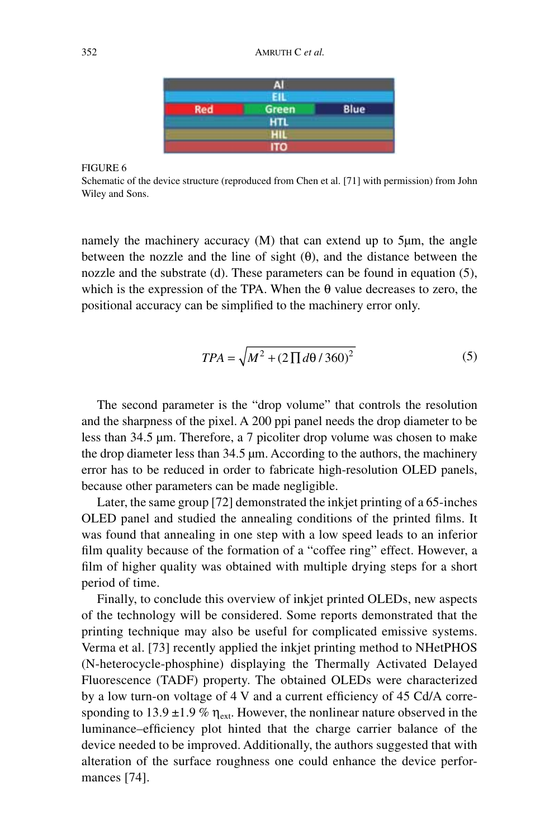|            | чı           |      |
|------------|--------------|------|
| <b>Red</b> | <b>Green</b> | Blue |
|            |              |      |
|            | HIL          |      |
|            | то           |      |

Schematic of the device structure (reproduced from Chen et al. [71] with permission) from John Wiley and Sons.

namely the machinery accuracy (M) that can extend up to 5µm, the angle between the nozzle and the line of sight  $(\theta)$ , and the distance between the nozzle and the substrate (d). These parameters can be found in equation (5), which is the expression of the TPA. When the  $\theta$  value decreases to zero, the positional accuracy can be simplified to the machinery error only.

$$
TPA = \sqrt{M^2 + (2\prod d\theta / 360)^2}
$$
 (5)

The second parameter is the "drop volume" that controls the resolution and the sharpness of the pixel. A 200 ppi panel needs the drop diameter to be less than 34.5 µm. Therefore, a 7 picoliter drop volume was chosen to make the drop diameter less than 34.5 µm. According to the authors, the machinery error has to be reduced in order to fabricate high-resolution OLED panels, because other parameters can be made negligible.

Later, the same group [72] demonstrated the inkjet printing of a 65-inches OLED panel and studied the annealing conditions of the printed films. It was found that annealing in one step with a low speed leads to an inferior film quality because of the formation of a "coffee ring" effect. However, a film of higher quality was obtained with multiple drying steps for a short period of time.

Finally, to conclude this overview of inkjet printed OLEDs, new aspects of the technology will be considered. Some reports demonstrated that the printing technique may also be useful for complicated emissive systems. Verma et al. [73] recently applied the inkjet printing method to NHetPHOS (N-heterocycle-phosphine) displaying the Thermally Activated Delayed Fluorescence (TADF) property. The obtained OLEDs were characterized by a low turn-on voltage of 4 V and a current efficiency of 45 Cd/A corresponding to 13.9 ±1.9 %  $\eta_{\text{ext}}$ . However, the nonlinear nature observed in the luminance–efficiency plot hinted that the charge carrier balance of the device needed to be improved. Additionally, the authors suggested that with alteration of the surface roughness one could enhance the device performances [74].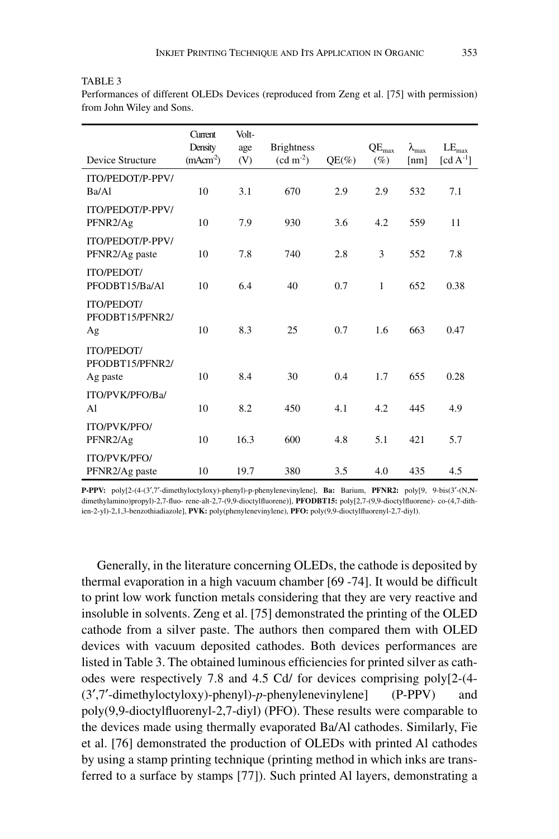#### TABLE<sub>3</sub>

Performances of different OLEDs Devices (reproduced from Zeng et al. [75] with permission) from John Wiley and Sons.

| Device Structure                                 | Current<br>Density<br>(mAcm <sup>2</sup> ) | Volt-<br>age<br>(V) | <b>Brightness</b><br>$(cd \, m^{-2})$ | $QE(\%)$ | $QE_{max}$<br>$(\%)$ | $\lambda_{\text{max}}$<br>[nm] | $LE_{\text{max}}$<br>$[cd A^{-1}]$ |
|--------------------------------------------------|--------------------------------------------|---------------------|---------------------------------------|----------|----------------------|--------------------------------|------------------------------------|
| ITO/PEDOT/P-PPV/                                 |                                            |                     |                                       |          |                      |                                |                                    |
| Ba/Al                                            | 10                                         | 3.1                 | 670                                   | 2.9      | 2.9                  | 532                            | 7.1                                |
| ITO/PEDOT/P-PPV/<br>PFNR2/Ag                     | 10                                         | 7.9                 | 930                                   | 3.6      | 4.2                  | 559                            | 11                                 |
| ITO/PEDOT/P-PPV/<br>PFNR2/Ag paste               | 10                                         | 7.8                 | 740                                   | 2.8      | 3                    | 552                            | 7.8                                |
| <b>ITO/PEDOT/</b><br>PFODBT15/Ba/Al              | 10                                         | 6.4                 | 40                                    | 0.7      | $\mathbf{1}$         | 652                            | 0.38                               |
| <b>ITO/PEDOT/</b><br>PFODBT15/PFNR2/<br>Ag       | 10                                         | 8.3                 | 25                                    | 0.7      | 1.6                  | 663                            | 0.47                               |
| <b>ITO/PEDOT/</b><br>PFODBT15/PFNR2/<br>Ag paste | 10                                         | 8.4                 | 30                                    | 0.4      | 1.7                  | 655                            | 0.28                               |
| ITO/PVK/PFO/Ba/<br>A1                            | 10                                         | 8.2                 | 450                                   | 4.1      | 4.2                  | 445                            | 4.9                                |
| ITO/PVK/PFO/<br>PFNR2/Ag                         | 10                                         | 16.3                | 600                                   | 4.8      | 5.1                  | 421                            | 5.7                                |
| ITO/PVK/PFO/<br>PFNR2/Ag paste                   | 10                                         | 19.7                | 380                                   | 3.5      | 4.0                  | 435                            | 4.5                                |

**P-PPV:** poly[2-(4-(3′,7′-dimethyloctyloxy)-phenyl)-p-phenylenevinylene], **Ba:** Barium, **PFNR2:** poly[9, 9-bis(3′-(N,Ndimethylamino)propyl)-2,7-fluo- rene-alt-2,7-(9,9-dioctylfluorene)], **PFODBT15:** poly[2,7-(9,9-dioctylfluorene)- co-(4,7-dithien-2-yl)-2,1,3-benzothiadiazole], **PVK:** poly(phenylenevinylene), **PFO:** poly(9,9-dioctylfluorenyl-2,7-diyl).

Generally, in the literature concerning OLEDs, the cathode is deposited by thermal evaporation in a high vacuum chamber [69 -74]. It would be difficult to print low work function metals considering that they are very reactive and insoluble in solvents. Zeng et al. [75] demonstrated the printing of the OLED cathode from a silver paste. The authors then compared them with OLED devices with vacuum deposited cathodes. Both devices performances are listed in Table 3. The obtained luminous efficiencies for printed silver as cathodes were respectively 7.8 and 4.5 Cd/ for devices comprising poly[2-(4- (3′,7′-dimethyloctyloxy)-phenyl)-*p*-phenylenevinylene] (P-PPV) and poly(9,9-dioctylfluorenyl-2,7-diyl) (PFO). These results were comparable to the devices made using thermally evaporated Ba/Al cathodes. Similarly, Fie et al. [76] demonstrated the production of OLEDs with printed Al cathodes by using a stamp printing technique (printing method in which inks are transferred to a surface by stamps [77]). Such printed Al layers, demonstrating a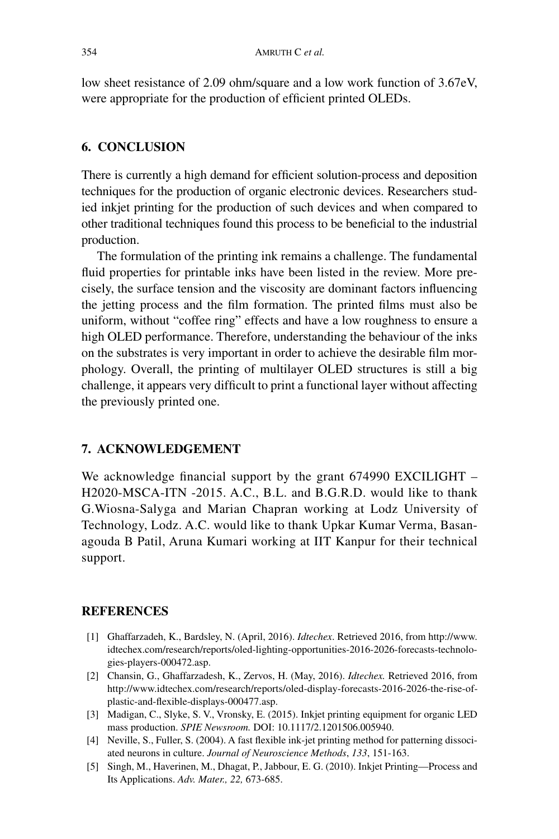low sheet resistance of 2.09 ohm/square and a low work function of 3.67eV, were appropriate for the production of efficient printed OLEDs.

### **6. CONCLUSION**

There is currently a high demand for efficient solution-process and deposition techniques for the production of organic electronic devices. Researchers studied inkjet printing for the production of such devices and when compared to other traditional techniques found this process to be beneficial to the industrial production.

The formulation of the printing ink remains a challenge. The fundamental fluid properties for printable inks have been listed in the review. More precisely, the surface tension and the viscosity are dominant factors influencing the jetting process and the film formation. The printed films must also be uniform, without "coffee ring" effects and have a low roughness to ensure a high OLED performance. Therefore, understanding the behaviour of the inks on the substrates is very important in order to achieve the desirable film morphology. Overall, the printing of multilayer OLED structures is still a big challenge, it appears very difficult to print a functional layer without affecting the previously printed one.

#### **7. ACKNOWLEDGEMENT**

We acknowledge financial support by the grant 674990 EXCILIGHT – H2020-MSCA-ITN -2015. A.C., B.L. and B.G.R.D. would like to thank G.Wiosna-Salyga and Marian Chapran working at Lodz University of Technology, Lodz. A.C. would like to thank Upkar Kumar Verma, Basanagouda B Patil, Aruna Kumari working at IIT Kanpur for their technical support.

#### **REFERENCES**

- [1] Ghaffarzadeh, K., Bardsley, N. (April, 2016). *Idtechex*. Retrieved 2016, from http://www. idtechex.com/research/reports/oled-lighting-opportunities-2016-2026-forecasts-technologies-players-000472.asp.
- [2] Chansin, G., Ghaffarzadesh, K., Zervos, H. (May, 2016). *Idtechex.* Retrieved 2016, from http://www.idtechex.com/research/reports/oled-display-forecasts-2016-2026-the-rise-ofplastic-and-flexible-displays-000477.asp.
- [3] Madigan, C., Slyke, S. V., Vronsky, E. (2015). Inkjet printing equipment for organic LED mass production. *SPIE Newsroom.* DOI: 10.1117/2.1201506.005940.
- [4] Neville, S., Fuller, S. (2004). A fast flexible ink-jet printing method for patterning dissociated neurons in culture. *Journal of Neuroscience Methods*, *133*, 151-163.
- [5] Singh, M., Haverinen, M., Dhagat, P., Jabbour, E. G. (2010). Inkjet Printing—Process and Its Applications. *Adv. Mater., 22,* 673-685.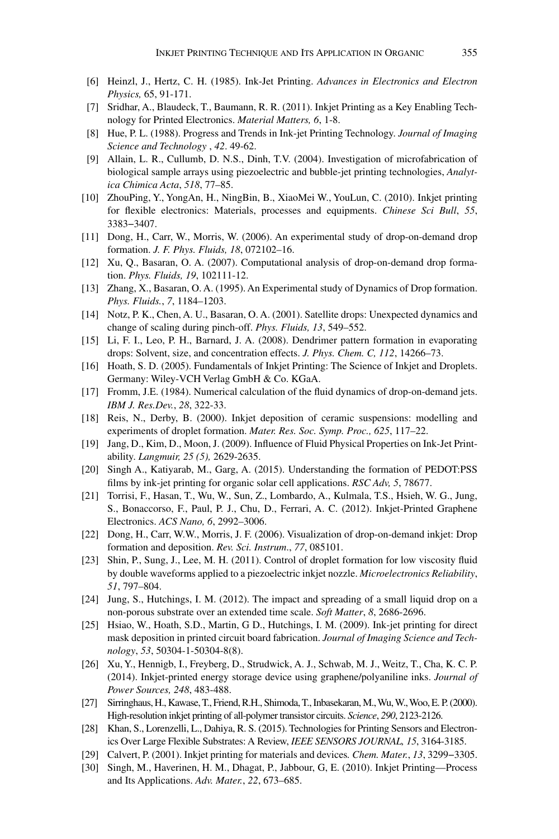- [6] Heinzl, J., Hertz, C. H. (1985). Ink-Jet Printing. *Advances in Electronics and Electron Physics,* 65, 91-171.
- [7] Sridhar, A., Blaudeck, T., Baumann, R. R. (2011). Inkjet Printing as a Key Enabling Technology for Printed Electronics. *Material Matters, 6*, 1-8.
- [8] Hue, P. L. (1988). Progress and Trends in Ink-jet Printing Technology. *Journal of Imaging Science and Technology* , *42*. 49-62.
- [9] Allain, L. R., Cullumb, D. N.S., Dinh, T.V. (2004). Investigation of microfabrication of biological sample arrays using piezoelectric and bubble-jet printing technologies, *Analytica Chimica Acta*, *518*, 77–85.
- [10] ZhouPing, Y., YongAn, H., NingBin, B., XiaoMei W., YouLun, C. (2010). Inkjet printing for flexible electronics: Materials, processes and equipments. *Chinese Sci Bull*, *55*, 3383−3407.
- [11] Dong, H., Carr, W., Morris, W. (2006). An experimental study of drop-on-demand drop formation. *J. F. Phys. Fluids, 18*, 072102–16.
- [12] Xu, Q., Basaran, O. A. (2007). Computational analysis of drop-on-demand drop formation. *Phys. Fluids, 19*, 102111-12.
- [13] Zhang, X., Basaran, O. A. (1995). An Experimental study of Dynamics of Drop formation. *Phys. Fluids.*, *7*, 1184–1203.
- [14] Notz, P. K., Chen, A. U., Basaran, O. A. (2001). Satellite drops: Unexpected dynamics and change of scaling during pinch-off. *Phys. Fluids, 13*, 549–552.
- [15] Li, F. I., Leo, P. H., Barnard, J. A. (2008). Dendrimer pattern formation in evaporating drops: Solvent, size, and concentration effects. *J. Phys. Chem. C, 112*, 14266–73.
- [16] Hoath, S. D. (2005). Fundamentals of Inkjet Printing: The Science of Inkjet and Droplets. Germany: Wiley-VCH Verlag GmbH & Co. KGaA.
- [17] Fromm, J.E. (1984). Numerical calculation of the fluid dynamics of drop-on-demand jets. *IBM J. Res.Dev.*, *28*, 322-33.
- [18] Reis, N., Derby, B. (2000). Inkjet deposition of ceramic suspensions: modelling and experiments of droplet formation. *Mater. Res. Soc. Symp. Proc., 625*, 117–22.
- [19] Jang, D., Kim, D., Moon, J. (2009). Influence of Fluid Physical Properties on Ink-Jet Printability. *Langmuir, 25 (5),* 2629-2635.
- [20] Singh A., Katiyarab, M., Garg, A. (2015). Understanding the formation of PEDOT:PSS films by ink-jet printing for organic solar cell applications. *RSC Adv, 5*, 78677.
- [21] Torrisi, F., Hasan, T., Wu, W., Sun, Z., Lombardo, A., Kulmala, T.S., Hsieh, W. G., Jung, S., Bonaccorso, F., Paul, P. J., Chu, D., Ferrari, A. C. (2012). Inkjet-Printed Graphene Electronics. *ACS Nano, 6*, 2992–3006.
- [22] Dong, H., Carr, W.W., Morris, J. F. (2006). Visualization of drop-on-demand inkjet: Drop formation and deposition. *Rev. Sci. Instrum*., *77*, 085101.
- [23] Shin, P., Sung, J., Lee, M. H. (2011). Control of droplet formation for low viscosity fluid by double waveforms applied to a piezoelectric inkjet nozzle. *Microelectronics Reliability*, *51*, 797–804.
- [24] Jung, S., Hutchings, I. M. (2012). The impact and spreading of a small liquid drop on a non-porous substrate over an extended time scale. *Soft Matter*, *8*, 2686-2696.
- [25] Hsiao, W., Hoath, S.D., Martin, G D., Hutchings, I. M. (2009). Ink-jet printing for direct mask deposition in printed circuit board fabrication. *Journal of Imaging Science and Technology*, *53*, 50304-1-50304-8(8).
- [26] Xu, Y., Hennigb, I., Freyberg, D., Strudwick, A. J., Schwab, M. J., Weitz, T., Cha, K. C. P. (2014). Inkjet-printed energy storage device using graphene/polyaniline inks. *Journal of Power Sources, 248*, 483-488.
- [27] Sirringhaus, H., Kawase, T., Friend, R.H., Shimoda, T., Inbasekaran, M., Wu, W., Woo, E. P. (2000). High-resolution inkjet printing of all-polymer transistor circuits. *Science*, *290*, 2123-2126.
- [28] Khan, S., Lorenzelli, L., Dahiya, R. S. (2015). Technologies for Printing Sensors and Electronics Over Large Flexible Substrates: A Review, *IEEE SENSORS JOURNAL, 15*, 3164-3185.
- [29] Calvert, P. (2001). Inkjet printing for materials and devices*. Chem. Mater.*, *13*, 3299−3305.
- [30] Singh, M., Haverinen, H. M., Dhagat, P., Jabbour, G, E. (2010). Inkjet Printing—Process and Its Applications. *Adv. Mater.*, *22*, 673–685.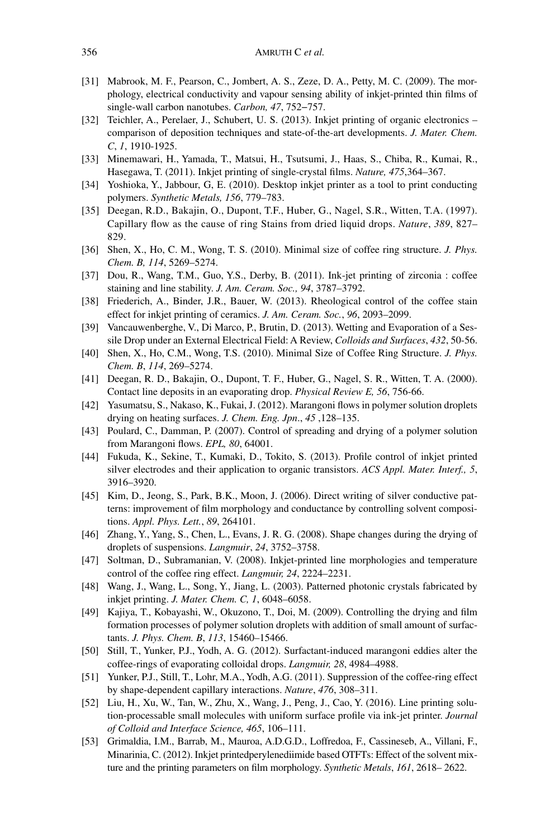- [31] Mabrook, M. F., Pearson, C., Jombert, A. S., Zeze, D. A., Petty, M. C. (2009). The morphology, electrical conductivity and vapour sensing ability of inkjet-printed thin films of single-wall carbon nanotubes. *Carbon, 47*, 752−757.
- [32] Teichler, A., Perelaer, J., Schubert, U. S. (2013). Inkjet printing of organic electronics comparison of deposition techniques and state-of-the-art developments. *J. Mater. Chem. C*, *1*, 1910-1925.
- [33] Minemawari, H., Yamada, T., Matsui, H., Tsutsumi, J., Haas, S., Chiba, R., Kumai, R., Hasegawa, T. (2011). Inkjet printing of single-crystal films. *Nature, 475*,364–367.
- [34] Yoshioka, Y., Jabbour, G, E. (2010). Desktop inkjet printer as a tool to print conducting polymers. *Synthetic Metals, 156*, 779–783.
- [35] Deegan, R.D., Bakajin, O., Dupont, T.F., Huber, G., Nagel, S.R., Witten, T.A. (1997). Capillary flow as the cause of ring Stains from dried liquid drops. *Nature*, *389*, 827– 829.
- [36] Shen, X., Ho, C. M., Wong, T. S. (2010). Minimal size of coffee ring structure. *J. Phys. Chem. B, 114*, 5269–5274.
- [37] Dou, R., Wang, T.M., Guo, Y.S., Derby, B. (2011). Ink-jet printing of zirconia : coffee staining and line stability. *J. Am. Ceram. Soc., 94*, 3787–3792.
- [38] Friederich, A., Binder, J.R., Bauer, W. (2013). Rheological control of the coffee stain effect for inkjet printing of ceramics. *J. Am. Ceram. Soc.*, *96*, 2093–2099.
- [39] Vancauwenberghe, V., Di Marco, P., Brutin, D. (2013). Wetting and Evaporation of a Sessile Drop under an External Electrical Field: A Review, *Colloids and Surfaces*, *432*, 50-56.
- [40] Shen, X., Ho, C.M., Wong, T.S. (2010). Minimal Size of Coffee Ring Structure. *J. Phys. Chem. B*, *114*, 269–5274.
- [41] Deegan, R. D., Bakajin, O., Dupont, T. F., Huber, G., Nagel, S. R., Witten, T. A. (2000). Contact line deposits in an evaporating drop. *Physical Review E, 56*, 756-66.
- [42] Yasumatsu, S., Nakaso, K., Fukai, J. (2012). Marangoni flows in polymer solution droplets drying on heating surfaces. *J. Chem. Eng. Jpn*., *45* ,128–135.
- [43] Poulard, C., Damman, P. (2007). Control of spreading and drying of a polymer solution from Marangoni flows. *EPL, 80*, 64001.
- [44] Fukuda, K., Sekine, T., Kumaki, D., Tokito, S. (2013). Profile control of inkjet printed silver electrodes and their application to organic transistors. *ACS Appl. Mater. Interf., 5*, 3916–3920.
- [45] Kim, D., Jeong, S., Park, B.K., Moon, J. (2006). Direct writing of silver conductive patterns: improvement of film morphology and conductance by controlling solvent compositions. *Appl. Phys. Lett.*, *89*, 264101.
- [46] Zhang, Y., Yang, S., Chen, L., Evans, J. R. G. (2008). Shape changes during the drying of droplets of suspensions. *Langmuir*, *24*, 3752–3758.
- [47] Soltman, D., Subramanian, V. (2008). Inkjet-printed line morphologies and temperature control of the coffee ring effect. *Langmuir, 24*, 2224–2231.
- [48] Wang, J., Wang, L., Song, Y., Jiang, L. (2003). Patterned photonic crystals fabricated by inkjet printing. *J. Mater. Chem. C, 1*, 6048–6058.
- [49] Kajiya, T., Kobayashi, W., Okuzono, T., Doi, M. (2009). Controlling the drying and film formation processes of polymer solution droplets with addition of small amount of surfactants. *J. Phys. Chem. B*, *113*, 15460–15466.
- [50] Still, T., Yunker, P.J., Yodh, A. G. (2012). Surfactant-induced marangoni eddies alter the coffee-rings of evaporating colloidal drops. *Langmuir, 28*, 4984–4988.
- [51] Yunker, P.J., Still, T., Lohr, M.A., Yodh, A.G. (2011). Suppression of the coffee-ring effect by shape-dependent capillary interactions. *Nature*, *476*, 308–311.
- [52] Liu, H., Xu, W., Tan, W., Zhu, X., Wang, J., Peng, J., Cao, Y. (2016). Line printing solution-processable small molecules with uniform surface profile via ink-jet printer. *Journal of Colloid and Interface Science, 465*, 106–111.
- [53] Grimaldia, I.M., Barrab, M., Mauroa, A.D.G.D., Loffredoa, F., Cassineseb, A., Villani, F., Minarinia, C. (2012). Inkjet printedperylenediimide based OTFTs: Effect of the solvent mixture and the printing parameters on film morphology. *Synthetic Metals*, *161*, 2618– 2622.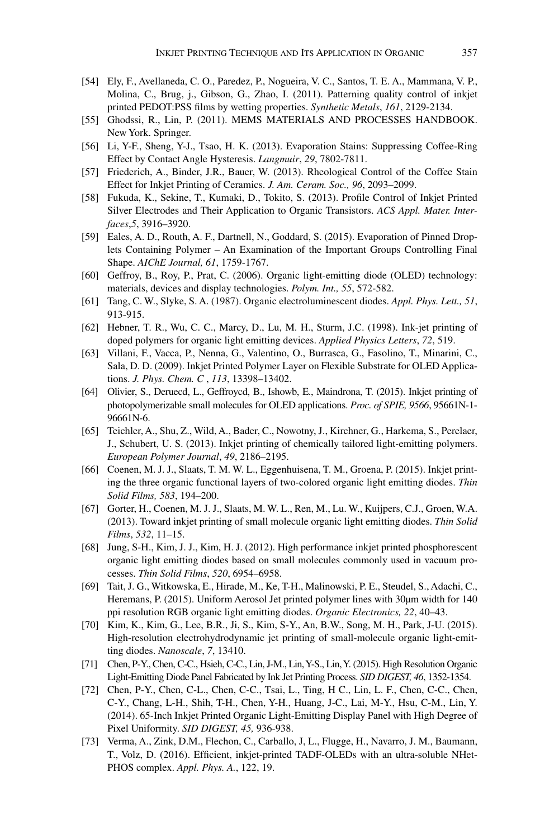- [54] Ely, F., Avellaneda, C. O., Paredez, P., Nogueira, V. C., Santos, T. E. A., Mammana, V. P., Molina, C., Brug, j., Gibson, G., Zhao, I. (2011). Patterning quality control of inkjet printed PEDOT:PSS films by wetting properties. *Synthetic Metals*, *161*, 2129-2134.
- [55] Ghodssi, R., Lin, P. (2011). MEMS MATERIALS AND PROCESSES HANDBOOK. New York. Springer.
- [56] Li, Y-F., Sheng, Y-J., Tsao, H. K. (2013). Evaporation Stains: Suppressing Coffee-Ring Effect by Contact Angle Hysteresis. *Langmuir*, *29*, 7802-7811.
- [57] Friederich, A., Binder, J.R., Bauer, W. (2013). Rheological Control of the Coffee Stain Effect for Inkjet Printing of Ceramics. *J. Am. Ceram. Soc., 96*, 2093–2099.
- [58] Fukuda, K., Sekine, T., Kumaki, D., Tokito, S. (2013). Profile Control of Inkjet Printed Silver Electrodes and Their Application to Organic Transistors. *ACS Appl. Mater. Interfaces*,*5*, 3916–3920.
- [59] Eales, A. D., Routh, A. F., Dartnell, N., Goddard, S. (2015). Evaporation of Pinned Droplets Containing Polymer – An Examination of the Important Groups Controlling Final Shape. *AIChE Journal, 61*, 1759-1767.
- [60] Geffroy, B., Roy, P., Prat, C. (2006). Organic light-emitting diode (OLED) technology: materials, devices and display technologies. *Polym. Int., 55*, 572-582.
- [61] Tang, C. W., Slyke, S. A. (1987). Organic electroluminescent diodes. *Appl. Phys. Lett., 51*, 913-915.
- [62] Hebner, T. R., Wu, C. C., Marcy, D., Lu, M. H., Sturm, J.C. (1998). Ink-jet printing of doped polymers for organic light emitting devices. *Applied Physics Letters*, *72*, 519.
- [63] Villani, F., Vacca, P., Nenna, G., Valentino, O., Burrasca, G., Fasolino, T., Minarini, C., Sala, D. D. (2009). Inkjet Printed Polymer Layer on Flexible Substrate for OLED Applications. *J. Phys. Chem. C* , *113*, 13398–13402.
- [64] Olivier, S., Deruecd, L., Geffroycd, B., Ishowb, E., Maindrona, T. (2015). Inkjet printing of photopolymerizable small molecules for OLED applications. *Proc. of SPIE, 9566*, 95661N-1- 96661N-6.
- [65] Teichler, A., Shu, Z., Wild, A., Bader, C., Nowotny, J., Kirchner, G., Harkema, S., Perelaer, J., Schubert, U. S. (2013). Inkjet printing of chemically tailored light-emitting polymers. *European Polymer Journal*, *49*, 2186–2195.
- [66] Coenen, M. J. J., Slaats, T. M. W. L., Eggenhuisena, T. M., Groena, P. (2015). Inkjet printing the three organic functional layers of two-colored organic light emitting diodes. *Thin Solid Films, 583*, 194–200.
- [67] Gorter, H., Coenen, M. J. J., Slaats, M. W. L., Ren, M., Lu. W., Kuijpers, C.J., Groen, W.A. (2013). Toward inkjet printing of small molecule organic light emitting diodes. *Thin Solid Films*, *532*, 11–15.
- [68] Jung, S-H., Kim, J. J., Kim, H. J. (2012). High performance inkjet printed phosphorescent organic light emitting diodes based on small molecules commonly used in vacuum processes. *Thin Solid Films*, *520*, 6954–6958.
- [69] Tait, J. G., Witkowska, E., Hirade, M., Ke, T-H., Malinowski, P. E., Steudel, S., Adachi, C., Heremans, P. (2015). Uniform Aerosol Jet printed polymer lines with 30µm width for 140 ppi resolution RGB organic light emitting diodes. *Organic Electronics, 22*, 40–43.
- [70] Kim, K., Kim, G., Lee, B.R., Ji, S., Kim, S-Y., An, B.W., Song, M. H., Park, J-U. (2015). High-resolution electrohydrodynamic jet printing of small-molecule organic light-emitting diodes. *Nanoscale*, *7*, 13410.
- [71] Chen, P-Y., Chen, C-C., Hsieh, C-C., Lin, J-M., Lin, Y-S., Lin, Y. (2015). High Resolution Organic Light-Emitting Diode Panel Fabricated by Ink Jet Printing Process. *SID DIGEST, 46*, 1352-1354.
- [72] Chen, P-Y., Chen, C-L., Chen, C-C., Tsai, L., Ting, H C., Lin, L. F., Chen, C-C., Chen, C-Y., Chang, L-H., Shih, T-H., Chen, Y-H., Huang, J-C., Lai, M-Y., Hsu, C-M., Lin, Y. (2014). 65-Inch Inkjet Printed Organic Light-Emitting Display Panel with High Degree of Pixel Uniformity. *SID DIGEST, 45,* 936-938.
- [73] Verma, A., Zink, D.M., Flechon, C., Carballo, J, L., Flugge, H., Navarro, J. M., Baumann, T., Volz, D. (2016). Efficient, inkjet-printed TADF-OLEDs with an ultra-soluble NHet-PHOS complex. *Appl. Phys. A.*, 122, 19.